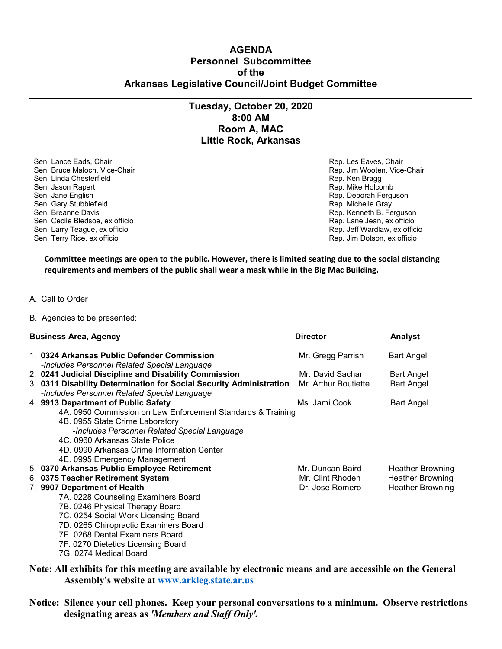## **AGENDA Personnel Subcommittee of the Arkansas Legislative Council/Joint Budget Committee**

## **Tuesday, October 20, 2020 8:00 AM Room A, MAC Little Rock, Arkansas**

Sen. Lance Eads, Chair Chair Rep. Les Eaves, Chair Rep. Les Eaves, Chair Rep. Les Eaves, Chair Sen. Bruce Maloch, Vice-Chair (1999) (Sen. Bruce Maloch, Vice-Chair Rep. Jim Wooten, Vice-Chair Sen. Linda Chesterfield Sen. Linda Chesterfield Sen. Jason Rapert **Rep. Accombing the Sen. Jason Rapert** Rep. Mike Holcombing the Rep. Mike Holcombing the Rep. Mike Holcombing the Rep. Accombing the Rep. Accombing the Rep. Accombing the Rep. Accombing the Rep. Accombing Sen. Jane English Rep. Deborah Ferguson Sen. Gary Stubblefield and Sen. Gary Stubblefield and Sen. All the Cray Sen. Bream and Sen. Bream and Sen. Bream and Sen. Bream and Sen. Bream and Sen. Bream and Sen. Rep. Kenneth B. Fe Sen. Cecile Bledsoe, ex officio and the sense of the sense of the sense of the Sen. Lane Jean, ex officio Sen. Lane Jean, ex officio Sen. Larry Teague, ex officio and Sen. Larry Teague, ex officio and Sen. Larry Teague, ex Sen. Larry Teague, ex officio Sen. Terry Rice, ex officio Rep. Jim Dotson, ex officio

Rep. Kenneth B. Ferguson<br>Rep. Lane Jean, ex officio

**Committee meetings are open to the public. However, there is limited seating due to the social distancing requirements and members of the public shall wear a mask while in the Big Mac Building.**

A. Call to Order

B. Agencies to be presented:

| <b>Business Area, Agency</b> |                                                                     | <b>Director</b>      | <b>Analyst</b>          |
|------------------------------|---------------------------------------------------------------------|----------------------|-------------------------|
|                              | 1. 0324 Arkansas Public Defender Commission                         | Mr. Gregg Parrish    | Bart Angel              |
|                              | -Includes Personnel Related Special Language                        |                      |                         |
|                              | 2. 0241 Judicial Discipline and Disability Commission               | Mr. David Sachar     | Bart Angel              |
|                              | 3. 0311 Disability Determination for Social Security Administration | Mr. Arthur Boutiette | <b>Bart Angel</b>       |
|                              | -Includes Personnel Related Special Language                        |                      |                         |
|                              | 4. 9913 Department of Public Safety                                 | Ms. Jami Cook        | <b>Bart Angel</b>       |
|                              | 4A. 0950 Commission on Law Enforcement Standards & Training         |                      |                         |
|                              | 4B. 0955 State Crime Laboratory                                     |                      |                         |
|                              | -Includes Personnel Related Special Language                        |                      |                         |
|                              | 4C. 0960 Arkansas State Police                                      |                      |                         |
|                              | 4D. 0990 Arkansas Crime Information Center                          |                      |                         |
|                              | 4E. 0995 Emergency Management                                       |                      |                         |
|                              | 5. 0370 Arkansas Public Employee Retirement                         | Mr. Duncan Baird     | Heather Browning        |
|                              | 6. 0375 Teacher Retirement System                                   | Mr. Clint Rhoden     | <b>Heather Browning</b> |
|                              | 7. 9907 Department of Health                                        | Dr. Jose Romero      | <b>Heather Browning</b> |
|                              | 7A. 0228 Counseling Examiners Board                                 |                      |                         |
|                              | 7B. 0246 Physical Therapy Board                                     |                      |                         |
|                              | 7C. 0254 Social Work Licensing Board                                |                      |                         |
|                              | 7D. 0265 Chiropractic Examiners Board                               |                      |                         |
|                              | 7E. 0268 Dental Examiners Board                                     |                      |                         |
|                              | 7F. 0270 Dietetics Licensing Board                                  |                      |                         |
|                              | 7G. 0274 Medical Board                                              |                      |                         |
|                              |                                                                     |                      |                         |

**Note: All exhibits for this meeting are available by electronic means and are accessible on the General Assembly's website at [www.arkleg.state.ar.us](http://www.arkleg.state.ar.us)**

**Notice: Silence your cell phones. Keep your personal conversations to a minimum. Observe restrictions designating areas as** *'Members and Staff Only'.*